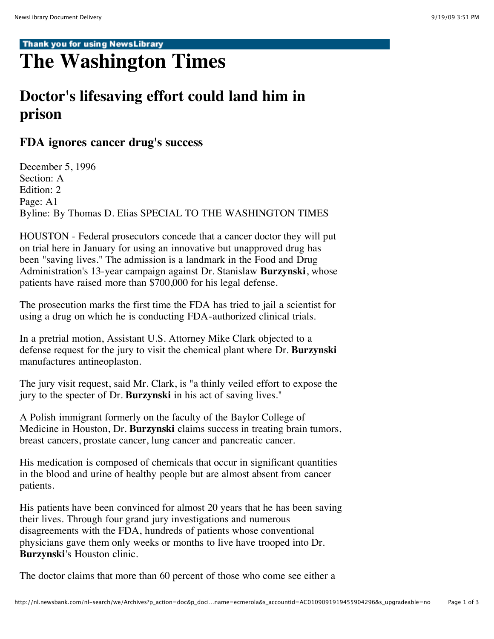## Thank you for using NewsLibrary

## **The Washington Times**

## **Doctor's lifesaving effort could land him in prison**

## **FDA ignores cancer drug's success**

December 5, 1996 Section: A Edition: 2 Page: A1 Byline: By Thomas D. Elias SPECIAL TO THE WASHINGTON TIMES

HOUSTON - Federal prosecutors concede that a cancer doctor they will put on trial here in January for using an innovative but unapproved drug has been "saving lives." The admission is a landmark in the Food and Drug Administration's 13-year campaign against Dr. Stanislaw **Burzynski**, whose patients have raised more than \$700,000 for his legal defense.

The prosecution marks the first time the FDA has tried to jail a scientist for using a drug on which he is conducting FDA-authorized clinical trials.

In a pretrial motion, Assistant U.S. Attorney Mike Clark objected to a defense request for the jury to visit the chemical plant where Dr. **Burzynski** manufactures antineoplaston.

The jury visit request, said Mr. Clark, is "a thinly veiled effort to expose the jury to the specter of Dr. **Burzynski** in his act of saving lives."

A Polish immigrant formerly on the faculty of the Baylor College of Medicine in Houston, Dr. **Burzynski** claims success in treating brain tumors, breast cancers, prostate cancer, lung cancer and pancreatic cancer.

His medication is composed of chemicals that occur in significant quantities in the blood and urine of healthy people but are almost absent from cancer patients.

His patients have been convinced for almost 20 years that he has been saving their lives. Through four grand jury investigations and numerous disagreements with the FDA, hundreds of patients whose conventional physicians gave them only weeks or months to live have trooped into Dr. **Burzynski**'s Houston clinic.

The doctor claims that more than 60 percent of those who come see either a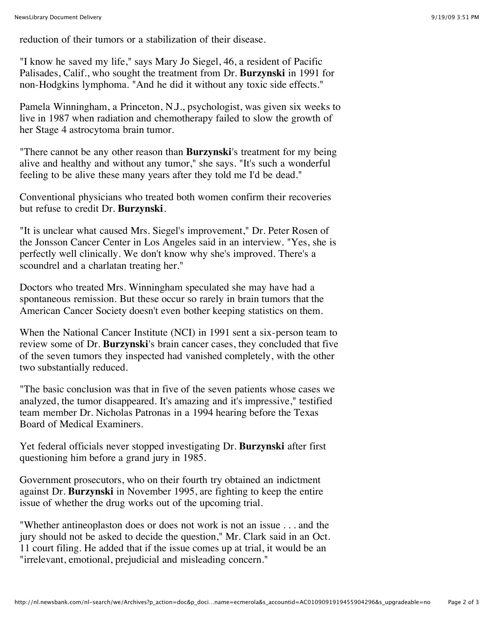reduction of their tumors or a stabilization of their disease.

"I know he saved my life," says Mary Jo Siegel, 46, a resident of Pacific Palisades, Calif., who sought the treatment from Dr. **Burzynski** in 1991 for non-Hodgkins lymphoma. "And he did it without any toxic side effects."

Pamela Winningham, a Princeton, N.J., psychologist, was given six weeks to live in 1987 when radiation and chemotherapy failed to slow the growth of her Stage 4 astrocytoma brain tumor.

"There cannot be any other reason than **Burzynski**'s treatment for my being alive and healthy and without any tumor," she says. "It's such a wonderful feeling to be alive these many years after they told me I'd be dead."

Conventional physicians who treated both women confirm their recoveries but refuse to credit Dr. **Burzynski**.

"It is unclear what caused Mrs. Siegel's improvement," Dr. Peter Rosen of the Jonsson Cancer Center in Los Angeles said in an interview. "Yes, she is perfectly well clinically. We don't know why she's improved. There's a scoundrel and a charlatan treating her."

Doctors who treated Mrs. Winningham speculated she may have had a spontaneous remission. But these occur so rarely in brain tumors that the American Cancer Society doesn't even bother keeping statistics on them.

When the National Cancer Institute (NCI) in 1991 sent a six-person team to review some of Dr. **Burzynski**'s brain cancer cases, they concluded that five of the seven tumors they inspected had vanished completely, with the other two substantially reduced.

"The basic conclusion was that in five of the seven patients whose cases we analyzed, the tumor disappeared. It's amazing and it's impressive," testified team member Dr. Nicholas Patronas in a 1994 hearing before the Texas Board of Medical Examiners.

Yet federal officials never stopped investigating Dr. **Burzynski** after first questioning him before a grand jury in 1985.

Government prosecutors, who on their fourth try obtained an indictment against Dr. **Burzynski** in November 1995, are fighting to keep the entire issue of whether the drug works out of the upcoming trial.

"Whether antineoplaston does or does not work is not an issue . . . and the jury should not be asked to decide the question," Mr. Clark said in an Oct. 11 court filing. He added that if the issue comes up at trial, it would be an "irrelevant, emotional, prejudicial and misleading concern."